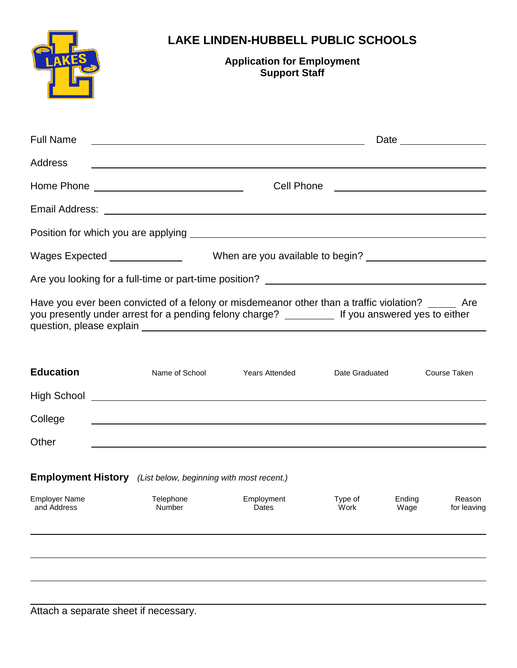|                                                                                                                                                                                                                                | <b>LAKE LINDEN-HUBBELL PUBLIC SCHOOLS</b><br><b>Application for Employment</b><br><b>Support Staff</b>               |                                             |  |  |  |  |
|--------------------------------------------------------------------------------------------------------------------------------------------------------------------------------------------------------------------------------|----------------------------------------------------------------------------------------------------------------------|---------------------------------------------|--|--|--|--|
| <b>Full Name</b>                                                                                                                                                                                                               | <u> 2000 - Jan James James Barnett, amerikan bisa di sebagai pertama pertama pertama pertama pertama pertama per</u> |                                             |  |  |  |  |
| <b>Address</b>                                                                                                                                                                                                                 | <u> 1989 - Andrea Santa Andrea Andrea Santa Andrea Andrea Andrea Andrea Andrea Andrea Andrea Andrea Andrea Andre</u> |                                             |  |  |  |  |
| Home Phone New York Changes and The Manuscript Changes and The Manuscript Changes and The Manuscript Changes and The Manuscript Changes and The Manuscript Changes and The Manuscript Changes and The Manuscript Changes and T |                                                                                                                      | Cell Phone <u>_________________________</u> |  |  |  |  |
|                                                                                                                                                                                                                                |                                                                                                                      |                                             |  |  |  |  |
|                                                                                                                                                                                                                                |                                                                                                                      |                                             |  |  |  |  |
|                                                                                                                                                                                                                                | Wages Expected _______________________When are you available to begin? ________________                              |                                             |  |  |  |  |
|                                                                                                                                                                                                                                |                                                                                                                      |                                             |  |  |  |  |
|                                                                                                                                                                                                                                |                                                                                                                      |                                             |  |  |  |  |

| Have you ever been convicted of a felony or misdemeanor other than a traffic violation? |                               | Are |
|-----------------------------------------------------------------------------------------|-------------------------------|-----|
| you presently under arrest for a pending felony charge?                                 | If you answered yes to either |     |
| question, please explain                                                                |                               |     |

| <b>Education</b>                                                       |                     | Name of School | <b>Years Attended</b> | Date Graduated                    | Course Taken          |  |  |  |
|------------------------------------------------------------------------|---------------------|----------------|-----------------------|-----------------------------------|-----------------------|--|--|--|
| <b>High School</b>                                                     |                     |                |                       |                                   |                       |  |  |  |
| College                                                                |                     |                |                       |                                   |                       |  |  |  |
| Other                                                                  |                     |                |                       |                                   |                       |  |  |  |
| <b>Employment History</b><br>(List below, beginning with most recent.) |                     |                |                       |                                   |                       |  |  |  |
| <b>Employer Name</b><br>and Address                                    | Telephone<br>Number |                | Employment<br>Dates   | Type of<br>Ending<br>Work<br>Wage | Reason<br>for leaving |  |  |  |
|                                                                        |                     |                |                       |                                   |                       |  |  |  |
|                                                                        |                     |                |                       |                                   |                       |  |  |  |
|                                                                        |                     |                |                       |                                   |                       |  |  |  |